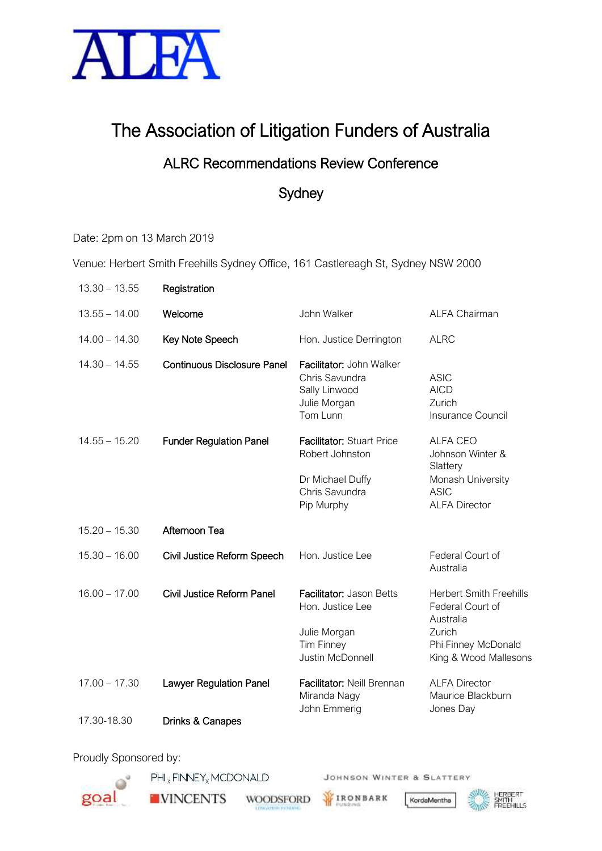

# The Association of Litigation Funders of Australia

### ALRC Recommendations Review Conference

## **Sydney**

Date: 2pm on 13 March 2019

Venue: Herbert Smith Freehills Sydney Office, 161 Castlereagh St, Sydney NSW 2000

| $13.30 - 13.55$ | Registration                       |                                                                                                         |                                                                                                                           |
|-----------------|------------------------------------|---------------------------------------------------------------------------------------------------------|---------------------------------------------------------------------------------------------------------------------------|
| $13.55 - 14.00$ | Welcome                            | John Walker                                                                                             | <b>ALFA Chairman</b>                                                                                                      |
| $14.00 - 14.30$ | Key Note Speech                    | Hon. Justice Derrington                                                                                 | <b>ALRC</b>                                                                                                               |
| $14.30 - 14.55$ | <b>Continuous Disclosure Panel</b> | Facilitator: John Walker<br>Chris Savundra<br>Sally Linwood<br>Julie Morgan<br>Tom Lunn                 | <b>ASIC</b><br><b>AICD</b><br>Zurich<br>Insurance Council                                                                 |
| $14.55 - 15.20$ | <b>Funder Regulation Panel</b>     | <b>Facilitator: Stuart Price</b><br>Robert Johnston<br>Dr Michael Duffy<br>Chris Savundra<br>Pip Murphy | <b>ALFA CEO</b><br>Johnson Winter &<br>Slattery<br>Monash University<br><b>ASIC</b><br><b>ALFA Director</b>               |
| $15.20 - 15.30$ | Afternoon Tea                      |                                                                                                         |                                                                                                                           |
| $15.30 - 16.00$ | Civil Justice Reform Speech        | Hon. Justice Lee                                                                                        | Federal Court of<br>Australia                                                                                             |
| $16.00 - 17.00$ | Civil Justice Reform Panel         | Facilitator: Jason Betts<br>Hon. Justice Lee<br>Julie Morgan<br><b>Tim Finney</b><br>Justin McDonnell   | <b>Herbert Smith Freehills</b><br>Federal Court of<br>Australia<br>Zurich<br>Phi Finney McDonald<br>King & Wood Mallesons |
| $17.00 - 17.30$ | <b>Lawyer Regulation Panel</b>     | Facilitator: Neill Brennan<br>Miranda Nagy<br>John Emmerig                                              | <b>ALFA Director</b><br>Maurice Blackburn<br>Jones Day                                                                    |
| 17.30-18.30     | Drinks & Canapes                   |                                                                                                         |                                                                                                                           |

Proudly Sponsored by:

 $\mathsf{PHI}_\times \mathsf{FINNET}_\times \mathsf{MCDONALD}$ 



**NINCENTS** 

**WOODSFORD** 

IRONBARK

JOHNSON WINTER & SLATTERY